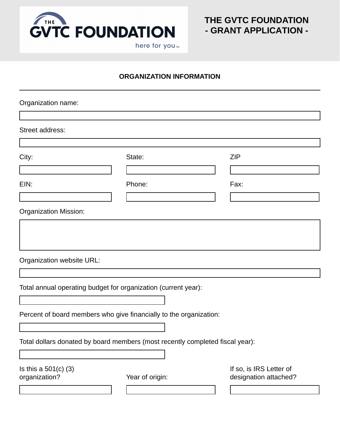

#### **ORGANIZATION INFORMATION**

| Organization name:                                                            |  |                 |  |                                                  |  |  |
|-------------------------------------------------------------------------------|--|-----------------|--|--------------------------------------------------|--|--|
|                                                                               |  |                 |  |                                                  |  |  |
| Street address:                                                               |  |                 |  |                                                  |  |  |
|                                                                               |  |                 |  |                                                  |  |  |
| City:                                                                         |  | State:          |  | <b>ZIP</b>                                       |  |  |
|                                                                               |  |                 |  |                                                  |  |  |
| EIN:                                                                          |  | Phone:          |  | Fax:                                             |  |  |
|                                                                               |  |                 |  |                                                  |  |  |
| <b>Organization Mission:</b>                                                  |  |                 |  |                                                  |  |  |
|                                                                               |  |                 |  |                                                  |  |  |
|                                                                               |  |                 |  |                                                  |  |  |
|                                                                               |  |                 |  |                                                  |  |  |
| Organization website URL:                                                     |  |                 |  |                                                  |  |  |
|                                                                               |  |                 |  |                                                  |  |  |
| Total annual operating budget for organization (current year):                |  |                 |  |                                                  |  |  |
|                                                                               |  |                 |  |                                                  |  |  |
| Percent of board members who give financially to the organization:            |  |                 |  |                                                  |  |  |
|                                                                               |  |                 |  |                                                  |  |  |
| Total dollars donated by board members (most recently completed fiscal year): |  |                 |  |                                                  |  |  |
|                                                                               |  |                 |  |                                                  |  |  |
| Is this a $501(c)$ (3)<br>organization?                                       |  | Year of origin: |  | If so, is IRS Letter of<br>designation attached? |  |  |
|                                                                               |  |                 |  |                                                  |  |  |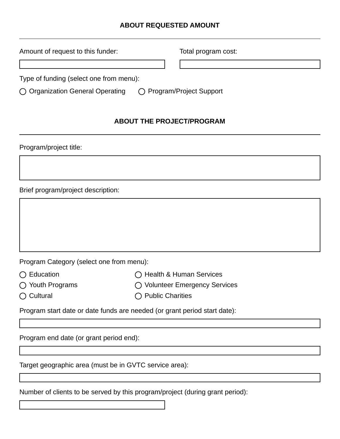#### **ABOUT REQUESTED AMOUNT**

| Amount of request to this funder:       | Total program cost:       |  |  |
|-----------------------------------------|---------------------------|--|--|
|                                         |                           |  |  |
| Type of funding (select one from menu): |                           |  |  |
| ◯ Organization General Operating        | ◯ Program/Project Support |  |  |

#### **ABOUT THE PROJECT/PROGRAM**

Program/project title:

Brief program/project description:

Program Category (select one from menu):

- ◯ Education ( Bealth & Human Services
- 
- 
- ◯ Youth Programs  $\bigcirc$  Volunteer Emergency Services
- ◯ Cultural () Public Charities

Program start date or date funds are needed (or grant period start date):

Program end date (or grant period end):

Target geographic area (must be in GVTC service area):

Number of clients to be served by this program/project (during grant period):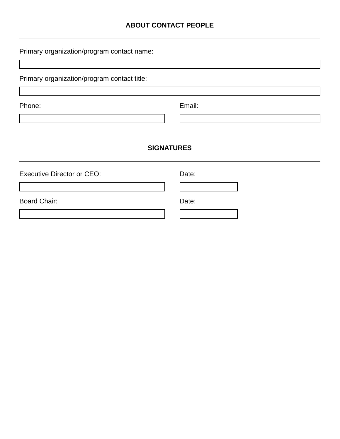## **ABOUT CONTACT PEOPLE**

| Primary organization/program contact name:  |        |  |  |  |  |  |
|---------------------------------------------|--------|--|--|--|--|--|
|                                             |        |  |  |  |  |  |
| Primary organization/program contact title: |        |  |  |  |  |  |
|                                             |        |  |  |  |  |  |
| Phone:                                      | Email: |  |  |  |  |  |
|                                             |        |  |  |  |  |  |
|                                             |        |  |  |  |  |  |
| <b>SIGNATURES</b>                           |        |  |  |  |  |  |
| <b>Executive Director or CEO:</b>           | Date:  |  |  |  |  |  |
|                                             |        |  |  |  |  |  |
| <b>Board Chair:</b>                         | Date:  |  |  |  |  |  |
|                                             |        |  |  |  |  |  |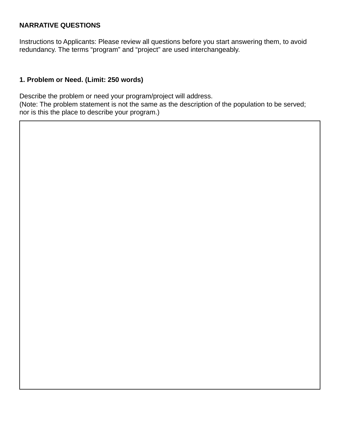#### **NARRATIVE QUESTIONS**

Instructions to Applicants: Please review all questions before you start answering them, to avoid redundancy. The terms "program" and "project" are used interchangeably.

#### **1. Problem or Need. (Limit: 250 words)**

Describe the problem or need your program/project will address.

(Note: The problem statement is not the same as the description of the population to be served; nor is this the place to describe your program.)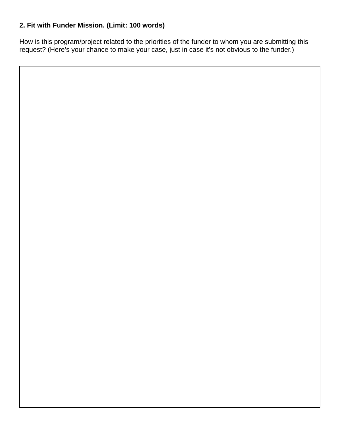# **2. Fit with Funder Mission. (Limit: 100 words)**

How is this program/project related to the priorities of the funder to whom you are submitting this request? (Here's your chance to make your case, just in case it's not obvious to the funder.)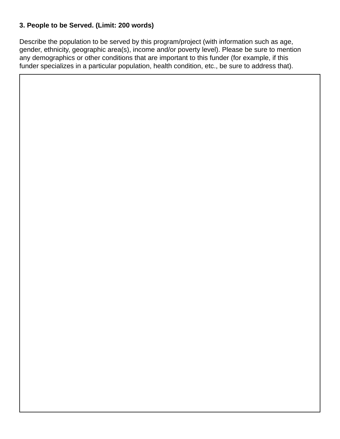# **3. People to be Served. (Limit: 200 words)**

Describe the population to be served by this program/project (with information such as age, gender, ethnicity, geographic area(s), income and/or poverty level). Please be sure to mention any demographics or other conditions that are important to this funder (for example, if this funder specializes in a particular population, health condition, etc., be sure to address that).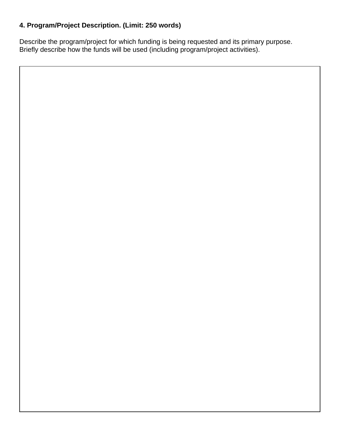# **4. Program/Project Description. (Limit: 250 words)**

Describe the program/project for which funding is being requested and its primary purpose. Briefly describe how the funds will be used (including program/project activities).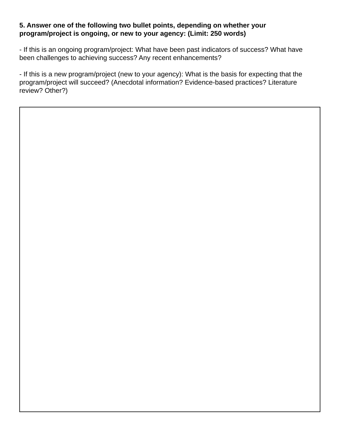#### **5. Answer one of the following two bullet points, depending on whether your program/project is ongoing, or new to your agency: (Limit: 250 words)**

- If this is an ongoing program/project: What have been past indicators of success? What have been challenges to achieving success? Any recent enhancements?

- If this is a new program/project (new to your agency): What is the basis for expecting that the program/project will succeed? (Anecdotal information? Evidence-based practices? Literature review? Other?)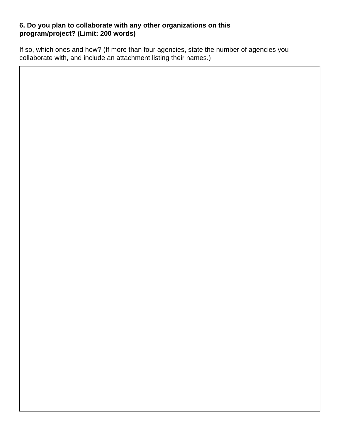#### **6. Do you plan to collaborate with any other organizations on this program/project? (Limit: 200 words)**

If so, which ones and how? (If more than four agencies, state the number of agencies you collaborate with, and include an attachment listing their names.)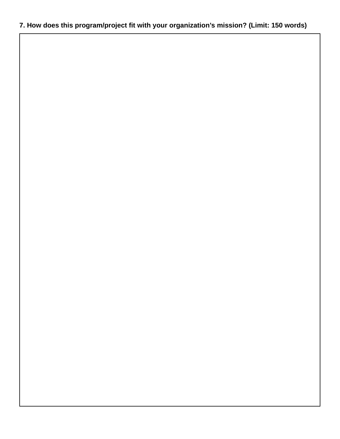# **7. How does this program/project fit with your organization's mission? (Limit: 150 words)**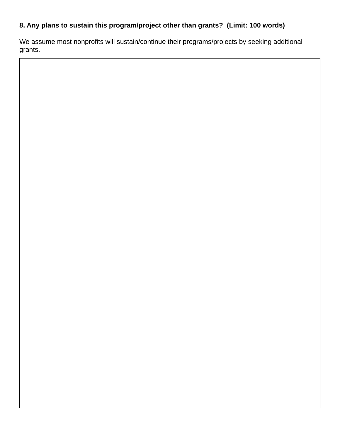# **8. Any plans to sustain this program/project other than grants? (Limit: 100 words)**

We assume most nonprofits will sustain/continue their programs/projects by seeking additional grants.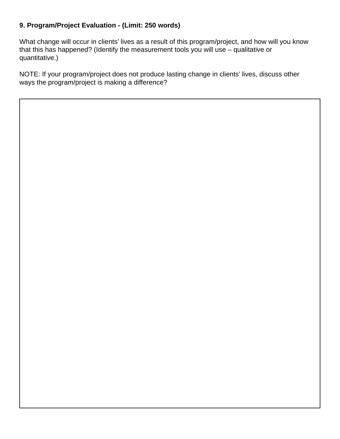# **9. Program/Project Evaluation - (Limit: 250 words)**

What change will occur in clients' lives as a result of this program/project, and how will you know that this has happened? (Identify the measurement tools you will use – qualitative or quantitative.)

NOTE: If your program/project does not produce lasting change in clients' lives, discuss other ways the program/project is making a difference?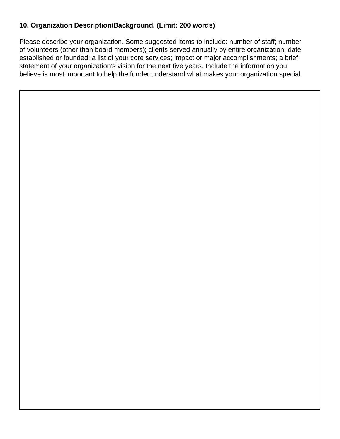# **10. Organization Description/Background. (Limit: 200 words)**

Please describe your organization. Some suggested items to include: number of staff; number of volunteers (other than board members); clients served annually by entire organization; date established or founded; a list of your core services; impact or major accomplishments; a brief statement of your organization's vision for the next five years. Include the information you believe is most important to help the funder understand what makes your organization special.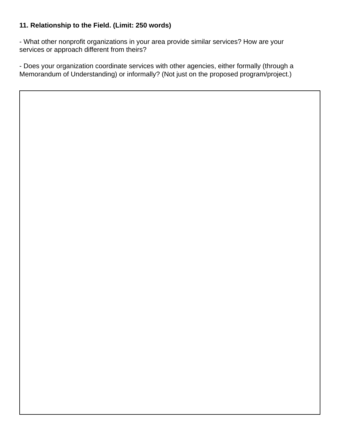# **11. Relationship to the Field. (Limit: 250 words)**

- What other nonprofit organizations in your area provide similar services? How are your services or approach different from theirs?

- Does your organization coordinate services with other agencies, either formally (through a Memorandum of Understanding) or informally? (Not just on the proposed program/project.)